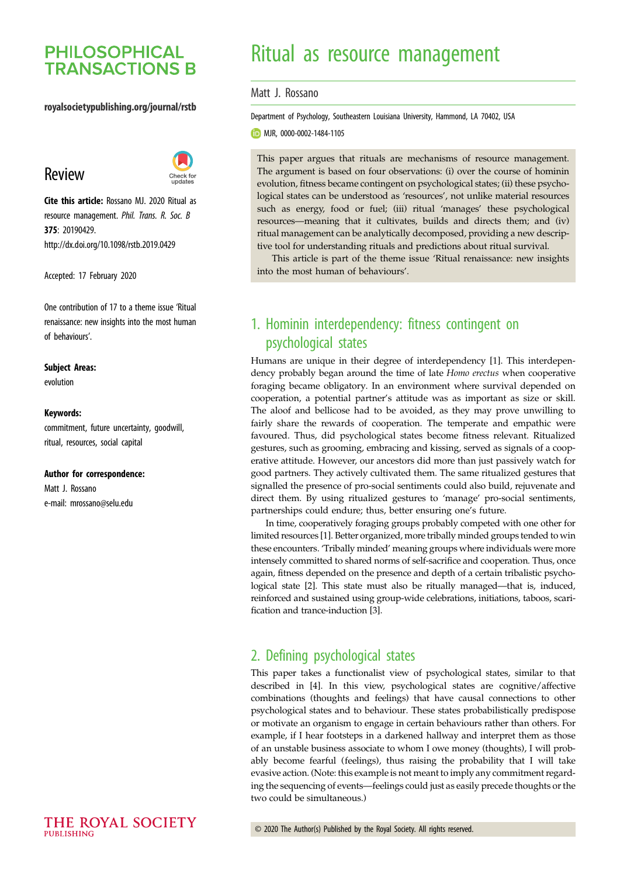# **PHILOSOPHICAL TRANSACTIONS B**

## royalsocietypublishing.org/journal/rstb

# Review



Cite this article: Rossano MJ. 2020 Ritual as resource management. Phil. Trans. R. Soc. B 375: 20190429. http://dx.doi.org/10.1098/rstb.2019.0429

Accepted: 17 February 2020

One contribution of 17 to a theme issue '[Ritual](http://dx.doi.org/10.1098/rstb/375/1805) [renaissance: new insights into the most human](http://dx.doi.org/10.1098/rstb/375/1805) [of behaviours](http://dx.doi.org/10.1098/rstb/375/1805)'.

#### Subject Areas:

evolution

#### Keywords:

commitment, future uncertainty, goodwill, ritual, resources, social capital

#### Author for correspondence:

Matt J. Rossano e-mail: [mrossano@selu.edu](mailto:mrossano@selu.edu)

# Ritual as resource management

Matt J. Rossano

Department of Psychology, Southeastern Louisiana University, Hammond, LA 70402, USA

MJR, [0000-0002-1484-1105](http://orcid.org/0000-0002-1484-1105)

This paper argues that rituals are mechanisms of resource management. The argument is based on four observations: (i) over the course of hominin evolution, fitness became contingent on psychological states; (ii) these psychological states can be understood as 'resources', not unlike material resources such as energy, food or fuel; (iii) ritual 'manages' these psychological resources—meaning that it cultivates, builds and directs them; and (iv) ritual management can be analytically decomposed, providing a new descriptive tool for understanding rituals and predictions about ritual survival.

This article is part of the theme issue 'Ritual renaissance: new insights into the most human of behaviours'.

# 1. Hominin interdependency: fitness contingent on psychological states

Humans are unique in their degree of interdependency [\[1\]](#page-7-0). This interdependency probably began around the time of late Homo erectus when cooperative foraging became obligatory. In an environment where survival depended on cooperation, a potential partner's attitude was as important as size or skill. The aloof and bellicose had to be avoided, as they may prove unwilling to fairly share the rewards of cooperation. The temperate and empathic were favoured. Thus, did psychological states become fitness relevant. Ritualized gestures, such as grooming, embracing and kissing, served as signals of a cooperative attitude. However, our ancestors did more than just passively watch for good partners. They actively cultivated them. The same ritualized gestures that signalled the presence of pro-social sentiments could also build, rejuvenate and direct them. By using ritualized gestures to 'manage' pro-social sentiments, partnerships could endure; thus, better ensuring one's future.

In time, cooperatively foraging groups probably competed with one other for limited resources [\[1\]](#page-7-0). Better organized, more tribally minded groups tended to win these encounters. 'Tribally minded' meaning groups where individuals were more intensely committed to shared norms of self-sacrifice and cooperation. Thus, once again, fitness depended on the presence and depth of a certain tribalistic psychological state [\[2\]](#page-7-0). This state must also be ritually managed—that is, induced, reinforced and sustained using group-wide celebrations, initiations, taboos, scarification and trance-induction [[3](#page-7-0)].

## 2. Defining psychological states

This paper takes a functionalist view of psychological states, similar to that described in [[4](#page-7-0)]. In this view, psychological states are cognitive/affective combinations (thoughts and feelings) that have causal connections to other psychological states and to behaviour. These states probabilistically predispose or motivate an organism to engage in certain behaviours rather than others. For example, if I hear footsteps in a darkened hallway and interpret them as those of an unstable business associate to whom I owe money (thoughts), I will probably become fearful (feelings), thus raising the probability that I will take evasive action. (Note: this example is not meant to imply any commitment regarding the sequencing of events—feelings could just as easily precede thoughts or the two could be simultaneous.)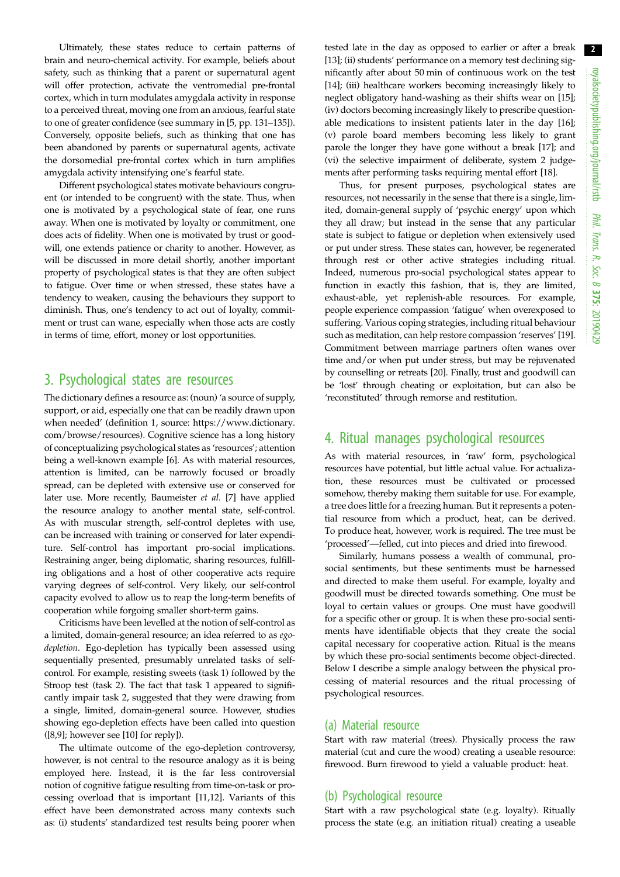Ultimately, these states reduce to certain patterns of brain and neuro-chemical activity. For example, beliefs about safety, such as thinking that a parent or supernatural agent will offer protection, activate the ventromedial pre-frontal cortex, which in turn modulates amygdala activity in response to a perceived threat, moving one from an anxious, fearful state to one of greater confidence (see summary in [[5](#page-7-0), pp. 131–135]). Conversely, opposite beliefs, such as thinking that one has been abandoned by parents or supernatural agents, activate the dorsomedial pre-frontal cortex which in turn amplifies amygdala activity intensifying one's fearful state.

Different psychological states motivate behaviours congruent (or intended to be congruent) with the state. Thus, when one is motivated by a psychological state of fear, one runs away. When one is motivated by loyalty or commitment, one does acts of fidelity. When one is motivated by trust or goodwill, one extends patience or charity to another. However, as will be discussed in more detail shortly, another important property of psychological states is that they are often subject to fatigue. Over time or when stressed, these states have a tendency to weaken, causing the behaviours they support to diminish. Thus, one's tendency to act out of loyalty, commitment or trust can wane, especially when those acts are costly in terms of time, effort, money or lost opportunities.

## 3. Psychological states are resources

The dictionary defines a resource as: (noun) 'a source of supply, support, or aid, especially one that can be readily drawn upon when needed' (definition 1, source: [https://www.dictionary.](https://www.dictionary.com/browse/resources) [com/browse/resources](https://www.dictionary.com/browse/resources)). Cognitive science has a long history of conceptualizing psychological states as 'resources'; attention being a well-known example [[6](#page-7-0)]. As with material resources, attention is limited, can be narrowly focused or broadly spread, can be depleted with extensive use or conserved for later use. More recently, Baumeister et al. [\[7\]](#page-7-0) have applied the resource analogy to another mental state, self-control. As with muscular strength, self-control depletes with use, can be increased with training or conserved for later expenditure. Self-control has important pro-social implications. Restraining anger, being diplomatic, sharing resources, fulfilling obligations and a host of other cooperative acts require varying degrees of self-control. Very likely, our self-control capacity evolved to allow us to reap the long-term benefits of cooperation while forgoing smaller short-term gains.

Criticisms have been levelled at the notion of self-control as a limited, domain-general resource; an idea referred to as egodepletion. Ego-depletion has typically been assessed using sequentially presented, presumably unrelated tasks of selfcontrol. For example, resisting sweets (task 1) followed by the Stroop test (task 2). The fact that task 1 appeared to significantly impair task 2, suggested that they were drawing from a single, limited, domain-general source. However, studies showing ego-depletion effects have been called into question  $([8,9];$  $([8,9];$  $([8,9];$  however see  $[10]$  $[10]$  for reply]).

The ultimate outcome of the ego-depletion controversy, however, is not central to the resource analogy as it is being employed here. Instead, it is the far less controversial notion of cognitive fatigue resulting from time-on-task or processing overload that is important [[11](#page-7-0),[12\]](#page-7-0). Variants of this effect have been demonstrated across many contexts such as: (i) students' standardized test results being poorer when

tested late in the day as opposed to earlier or after a break [[13\]](#page-7-0); (ii) students' performance on a memory test declining significantly after about 50 min of continuous work on the test [[14\]](#page-7-0); (iii) healthcare workers becoming increasingly likely to neglect obligatory hand-washing as their shifts wear on [[15\]](#page-7-0); (iv) doctors becoming increasingly likely to prescribe questionable medications to insistent patients later in the day [[16\]](#page-7-0); (v) parole board members becoming less likely to grant parole the longer they have gone without a break [\[17](#page-7-0)]; and (vi) the selective impairment of deliberate, system 2 judgements after performing tasks requiring mental effort [[18\]](#page-7-0).

Thus, for present purposes, psychological states are resources, not necessarily in the sense that there is a single, limited, domain-general supply of 'psychic energy' upon which they all draw; but instead in the sense that any particular state is subject to fatigue or depletion when extensively used or put under stress. These states can, however, be regenerated through rest or other active strategies including ritual. Indeed, numerous pro-social psychological states appear to function in exactly this fashion, that is, they are limited, exhaust-able, yet replenish-able resources. For example, people experience compassion 'fatigue' when overexposed to suffering. Various coping strategies, including ritual behaviour such as meditation, can help restore compassion 'reserves' [[19\]](#page-7-0). Commitment between marriage partners often wanes over time and/or when put under stress, but may be rejuvenated by counselling or retreats [\[20](#page-7-0)]. Finally, trust and goodwill can be 'lost' through cheating or exploitation, but can also be 'reconstituted' through remorse and restitution.

## 4. Ritual manages psychological resources

As with material resources, in 'raw' form, psychological resources have potential, but little actual value. For actualization, these resources must be cultivated or processed somehow, thereby making them suitable for use. For example, a tree does little for a freezing human. But it represents a potential resource from which a product, heat, can be derived. To produce heat, however, work is required. The tree must be 'processed'—felled, cut into pieces and dried into firewood.

Similarly, humans possess a wealth of communal, prosocial sentiments, but these sentiments must be harnessed and directed to make them useful. For example, loyalty and goodwill must be directed towards something. One must be loyal to certain values or groups. One must have goodwill for a specific other or group. It is when these pro-social sentiments have identifiable objects that they create the social capital necessary for cooperative action. Ritual is the means by which these pro-social sentiments become object-directed. Below I describe a simple analogy between the physical processing of material resources and the ritual processing of psychological resources.

### (a) Material resource

Start with raw material (trees). Physically process the raw material (cut and cure the wood) creating a useable resource: firewood. Burn firewood to yield a valuable product: heat.

## (b) Psychological resource

Start with a raw psychological state (e.g. loyalty). Ritually process the state (e.g. an initiation ritual) creating a useable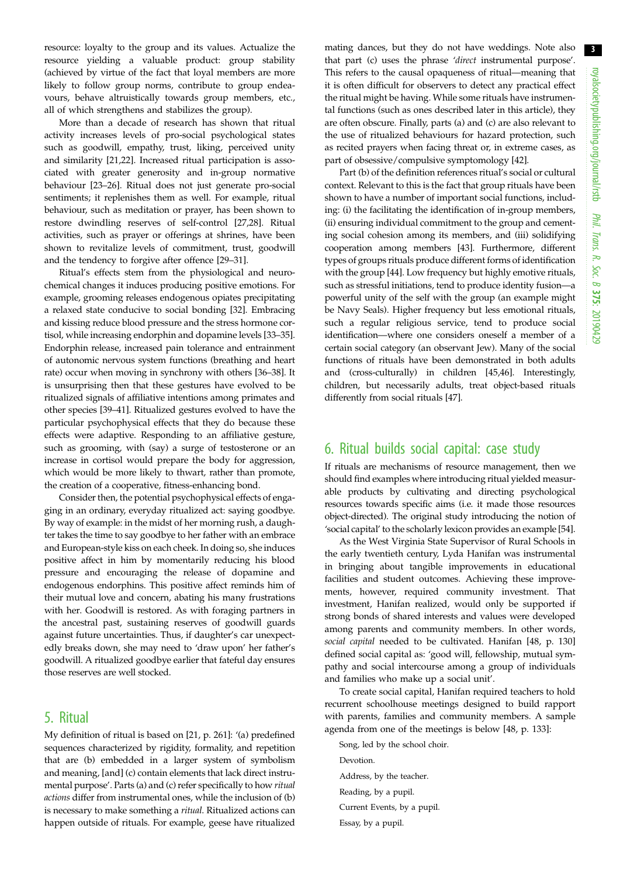resource: loyalty to the group and its values. Actualize the resource yielding a valuable product: group stability (achieved by virtue of the fact that loyal members are more likely to follow group norms, contribute to group endeavours, behave altruistically towards group members, etc., all of which strengthens and stabilizes the group).

More than a decade of research has shown that ritual activity increases levels of pro-social psychological states such as goodwill, empathy, trust, liking, perceived unity and similarity [\[21,22](#page-7-0)]. Increased ritual participation is associated with greater generosity and in-group normative behaviour [[23](#page-7-0)–[26](#page-7-0)]. Ritual does not just generate pro-social sentiments; it replenishes them as well. For example, ritual behaviour, such as meditation or prayer, has been shown to restore dwindling reserves of self-control [[27,28](#page-7-0)]. Ritual activities, such as prayer or offerings at shrines, have been shown to revitalize levels of commitment, trust, goodwill and the tendency to forgive after offence [\[29](#page-7-0)–[31\]](#page-7-0).

Ritual's effects stem from the physiological and neurochemical changes it induces producing positive emotions. For example, grooming releases endogenous opiates precipitating a relaxed state conducive to social bonding [[32\]](#page-7-0). Embracing and kissing reduce blood pressure and the stress hormone cortisol, while increasing endorphin and dopamine levels [\[33](#page-7-0)–[35](#page-7-0)]. Endorphin release, increased pain tolerance and entrainment of autonomic nervous system functions (breathing and heart rate) occur when moving in synchrony with others [[36](#page-7-0)–[38\]](#page-8-0). It is unsurprising then that these gestures have evolved to be ritualized signals of affiliative intentions among primates and other species [[39](#page-8-0)–[41](#page-8-0)]. Ritualized gestures evolved to have the particular psychophysical effects that they do because these effects were adaptive. Responding to an affiliative gesture, such as grooming, with (say) a surge of testosterone or an increase in cortisol would prepare the body for aggression, which would be more likely to thwart, rather than promote, the creation of a cooperative, fitness-enhancing bond.

Consider then, the potential psychophysical effects of engaging in an ordinary, everyday ritualized act: saying goodbye. By way of example: in the midst of her morning rush, a daughter takes the time to say goodbye to her father with an embrace and European-style kiss on each cheek. In doing so, she induces positive affect in him by momentarily reducing his blood pressure and encouraging the release of dopamine and endogenous endorphins. This positive affect reminds him of their mutual love and concern, abating his many frustrations with her. Goodwill is restored. As with foraging partners in the ancestral past, sustaining reserves of goodwill guards against future uncertainties. Thus, if daughter's car unexpectedly breaks down, she may need to 'draw upon' her father's goodwill. A ritualized goodbye earlier that fateful day ensures those reserves are well stocked.

## 5. Ritual

My definition of ritual is based on [[21](#page-7-0), p. 261]: '(a) predefined sequences characterized by rigidity, formality, and repetition that are (b) embedded in a larger system of symbolism and meaning, [and] (c) contain elements that lack direct instrumental purpose'. Parts (a) and (c) refer specifically to how ritual actions differ from instrumental ones, while the inclusion of (b) is necessary to make something a ritual. Ritualized actions can happen outside of rituals. For example, geese have ritualized

mating dances, but they do not have weddings. Note also that part (c) uses the phrase 'direct instrumental purpose'. This refers to the causal opaqueness of ritual—meaning that it is often difficult for observers to detect any practical effect the ritual might be having. While some rituals have instrumental functions (such as ones described later in this article), they are often obscure. Finally, parts (a) and (c) are also relevant to the use of ritualized behaviours for hazard protection, such as recited prayers when facing threat or, in extreme cases, as part of obsessive/compulsive symptomology [\[42](#page-8-0)].

Part (b) of the definition references ritual's social or cultural context. Relevant to this is the fact that group rituals have been shown to have a number of important social functions, including: (i) the facilitating the identification of in-group members, (ii) ensuring individual commitment to the group and cementing social cohesion among its members, and (iii) solidifying cooperation among members [\[43](#page-8-0)]. Furthermore, different types of groups rituals produce different forms of identification with the group [\[44](#page-8-0)]. Low frequency but highly emotive rituals, such as stressful initiations, tend to produce identity fusion—a powerful unity of the self with the group (an example might be Navy Seals). Higher frequency but less emotional rituals, such a regular religious service, tend to produce social identification—where one considers oneself a member of a certain social category (an observant Jew). Many of the social functions of rituals have been demonstrated in both adults and (cross-culturally) in children [\[45,46](#page-8-0)]. Interestingly, children, but necessarily adults, treat object-based rituals differently from social rituals [\[47](#page-8-0)].

## 6. Ritual builds social capital: case study

If rituals are mechanisms of resource management, then we should find examples where introducing ritual yielded measurable products by cultivating and directing psychological resources towards specific aims (i.e. it made those resources object-directed). The original study introducing the notion of 'social capital' to the scholarly lexicon provides an example [[54\]](#page-8-0).

As the West Virginia State Supervisor of Rural Schools in the early twentieth century, Lyda Hanifan was instrumental in bringing about tangible improvements in educational facilities and student outcomes. Achieving these improvements, however, required community investment. That investment, Hanifan realized, would only be supported if strong bonds of shared interests and values were developed among parents and community members. In other words, social capital needed to be cultivated. Hanifan [[48,](#page-8-0) p. 130] defined social capital as: 'good will, fellowship, mutual sympathy and social intercourse among a group of individuals and families who make up a social unit'.

To create social capital, Hanifan required teachers to hold recurrent schoolhouse meetings designed to build rapport with parents, families and community members. A sample agenda from one of the meetings is below [\[48](#page-8-0), p. 133]:

Song, led by the school choir. Devotion. Address, by the teacher. Reading, by a pupil. Current Events, by a pupil. Essay, by a pupil.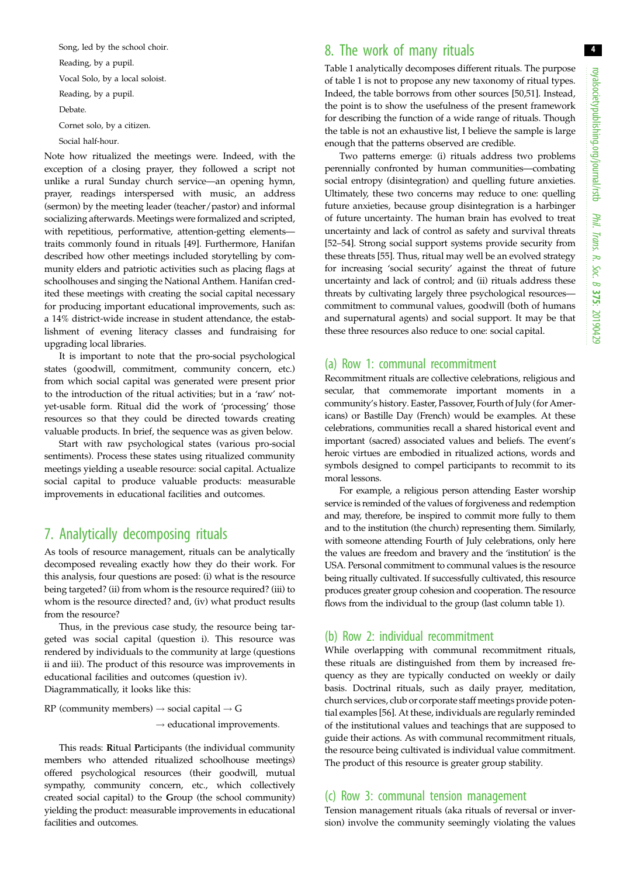Song, led by the school choir. Reading, by a pupil. Vocal Solo, by a local soloist. Reading, by a pupil. Debate. Cornet solo, by a citizen.

Social half-hour.

Note how ritualized the meetings were. Indeed, with the exception of a closing prayer, they followed a script not unlike a rural Sunday church service—an opening hymn, prayer, readings interspersed with music, an address (sermon) by the meeting leader (teacher/pastor) and informal socializing afterwards. Meetings were formalized and scripted, with repetitious, performative, attention-getting elements traits commonly found in rituals [[49](#page-8-0)]. Furthermore, Hanifan described how other meetings included storytelling by community elders and patriotic activities such as placing flags at schoolhouses and singing the National Anthem. Hanifan credited these meetings with creating the social capital necessary for producing important educational improvements, such as: a 14% district-wide increase in student attendance, the establishment of evening literacy classes and fundraising for upgrading local libraries.

It is important to note that the pro-social psychological states (goodwill, commitment, community concern, etc.) from which social capital was generated were present prior to the introduction of the ritual activities; but in a 'raw' notyet-usable form. Ritual did the work of 'processing' those resources so that they could be directed towards creating valuable products. In brief, the sequence was as given below.

Start with raw psychological states (various pro-social sentiments). Process these states using ritualized community meetings yielding a useable resource: social capital. Actualize social capital to produce valuable products: measurable improvements in educational facilities and outcomes.

# 7. Analytically decomposing rituals

As tools of resource management, rituals can be analytically decomposed revealing exactly how they do their work. For this analysis, four questions are posed: (i) what is the resource being targeted? (ii) from whom is the resource required? (iii) to whom is the resource directed? and, (iv) what product results from the resource?

Thus, in the previous case study, the resource being targeted was social capital (question i). This resource was rendered by individuals to the community at large (questions ii and iii). The product of this resource was improvements in educational facilities and outcomes (question iv). Diagrammatically, it looks like this:

RP (community members)  $\rightarrow$  social capital  $\rightarrow$  G  $\rightarrow$  educational improvements.

This reads: Ritual Participants (the individual community members who attended ritualized schoolhouse meetings) offered psychological resources (their goodwill, mutual sympathy, community concern, etc., which collectively created social capital) to the Group (the school community) yielding the product: measurable improvements in educational facilities and outcomes.

## 8. The work of many rituals

[Table 1](#page-4-0) analytically decomposes different rituals. The purpose of [table 1](#page-4-0) is not to propose any new taxonomy of ritual types. Indeed, the table borrows from other sources [\[50,51](#page-8-0)]. Instead, the point is to show the usefulness of the present framework for describing the function of a wide range of rituals. Though the table is not an exhaustive list, I believe the sample is large enough that the patterns observed are credible.

Two patterns emerge: (i) rituals address two problems perennially confronted by human communities—combating social entropy (disintegration) and quelling future anxieties. Ultimately, these two concerns may reduce to one: quelling future anxieties, because group disintegration is a harbinger of future uncertainty. The human brain has evolved to treat uncertainty and lack of control as safety and survival threats [[52](#page-8-0)–[54](#page-8-0)]. Strong social support systems provide security from these threats [\[55](#page-8-0)]. Thus, ritual may well be an evolved strategy for increasing 'social security' against the threat of future uncertainty and lack of control; and (ii) rituals address these threats by cultivating largely three psychological resources commitment to communal values, goodwill (both of humans and supernatural agents) and social support. It may be that these three resources also reduce to one: social capital.

## (a) Row 1: communal recommitment

Recommitment rituals are collective celebrations, religious and secular, that commemorate important moments in a community's history. Easter, Passover, Fourth of July (for Americans) or Bastille Day (French) would be examples. At these celebrations, communities recall a shared historical event and important (sacred) associated values and beliefs. The event's heroic virtues are embodied in ritualized actions, words and symbols designed to compel participants to recommit to its moral lessons.

For example, a religious person attending Easter worship service is reminded of the values of forgiveness and redemption and may, therefore, be inspired to commit more fully to them and to the institution (the church) representing them. Similarly, with someone attending Fourth of July celebrations, only here the values are freedom and bravery and the 'institution' is the USA. Personal commitment to communal values is the resource being ritually cultivated. If successfully cultivated, this resource produces greater group cohesion and cooperation. The resource flows from the individual to the group (last column [table 1\)](#page-4-0).

## (b) Row 2: individual recommitment

While overlapping with communal recommitment rituals, these rituals are distinguished from them by increased frequency as they are typically conducted on weekly or daily basis. Doctrinal rituals, such as daily prayer, meditation, church services, club or corporate staff meetings provide potential examples [[56\]](#page-8-0). At these, individuals are regularly reminded of the institutional values and teachings that are supposed to guide their actions. As with communal recommitment rituals, the resource being cultivated is individual value commitment. The product of this resource is greater group stability.

## (c) Row 3: communal tension management

Tension management rituals (aka rituals of reversal or inversion) involve the community seemingly violating the values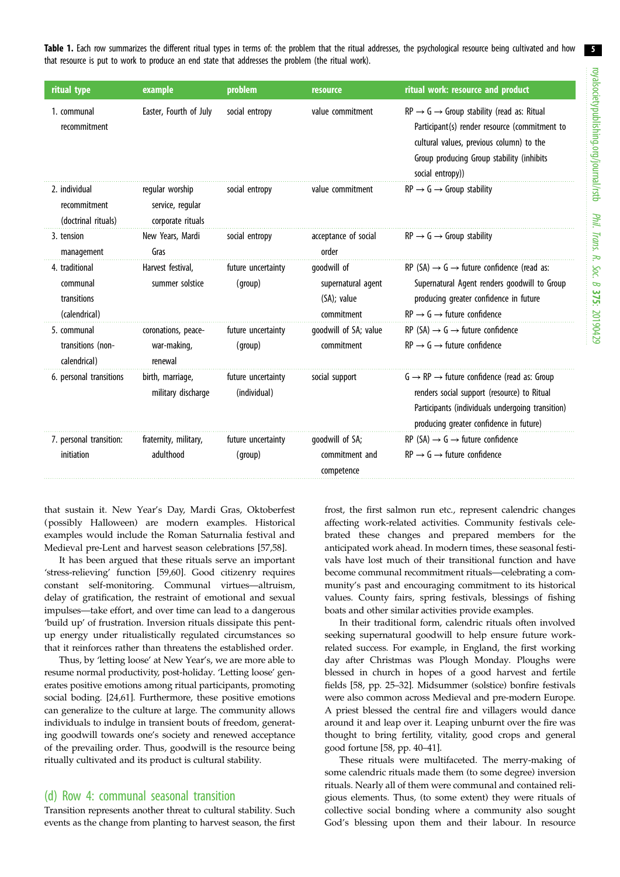<span id="page-4-0"></span>Table 1. Each row summarizes the different ritual types in terms of: the problem that the ritual addresses, the psychological resource being cultivated and how that resource is put to work to produce an end state that addresses the problem (the ritual work).

| ritual type                                                | example                                                  | problem                            | <b>resource</b>                                                | ritual work: resource and product                                                                                                                                                                                             |
|------------------------------------------------------------|----------------------------------------------------------|------------------------------------|----------------------------------------------------------------|-------------------------------------------------------------------------------------------------------------------------------------------------------------------------------------------------------------------------------|
| 1. communal<br>recommitment                                | Easter, Fourth of July                                   | social entropy                     | value commitment                                               | $RP \rightarrow G \rightarrow$ Group stability (read as: Ritual<br>Participant(s) render resource (commitment to<br>cultural values, previous column) to the<br>Group producing Group stability (inhibits<br>social entropy)) |
| 2. individual<br>recommitment<br>(doctrinal rituals)       | regular worship<br>service, regular<br>corporate rituals | social entropy                     | value commitment                                               | $RP \rightarrow G \rightarrow$ Group stability                                                                                                                                                                                |
| 3. tension<br>management                                   | New Years, Mardi<br>Gras                                 | social entropy                     | acceptance of social<br>order                                  | $RP \rightarrow G \rightarrow$ Group stability                                                                                                                                                                                |
| 4. traditional<br>communal<br>transitions<br>(calendrical) | Harvest festival.<br>summer solstice                     | future uncertainty<br>(group)      | qoodwill of<br>supernatural agent<br>(SA); value<br>commitment | RP (SA) $\rightarrow$ G $\rightarrow$ future confidence (read as:<br>Supernatural Agent renders goodwill to Group<br>producing greater confidence in future<br>$RP \rightarrow G \rightarrow$ future confidence               |
| 5. communal<br>transitions (non-<br>calendrical)           | coronations, peace-<br>war-making,<br>renewal            | future uncertainty<br>(group)      | goodwill of SA; value<br>commitment                            | RP (SA) $\rightarrow$ G $\rightarrow$ future confidence<br>$RP \rightarrow G \rightarrow$ future confidence                                                                                                                   |
| 6. personal transitions                                    | birth, marriage,<br>military discharge                   | future uncertainty<br>(individual) | social support                                                 | $G \rightarrow RP \rightarrow$ future confidence (read as: Group<br>renders social support (resource) to Ritual<br>Participants (individuals undergoing transition)<br>producing greater confidence in future)                |
| 7. personal transition:<br>initiation                      | fraternity, military,<br>adulthood                       | future uncertainty<br>(group)      | goodwill of SA;<br>commitment and<br>competence                | RP (SA) $\rightarrow$ G $\rightarrow$ future confidence<br>$RP \rightarrow G \rightarrow$ future confidence                                                                                                                   |

that sustain it. New Year's Day, Mardi Gras, Oktoberfest (possibly Halloween) are modern examples. Historical examples would include the Roman Saturnalia festival and Medieval pre-Lent and harvest season celebrations [\[57](#page-8-0),[58\]](#page-8-0).

It has been argued that these rituals serve an important 'stress-relieving' function [\[59](#page-8-0),[60](#page-8-0)]. Good citizenry requires constant self-monitoring. Communal virtues—altruism, delay of gratification, the restraint of emotional and sexual impulses—take effort, and over time can lead to a dangerous 'build up' of frustration. Inversion rituals dissipate this pentup energy under ritualistically regulated circumstances so that it reinforces rather than threatens the established order.

Thus, by 'letting loose' at New Year's, we are more able to resume normal productivity, post-holiday. 'Letting loose' generates positive emotions among ritual participants, promoting social boding. [[24](#page-7-0)[,61](#page-8-0)]. Furthermore, these positive emotions can generalize to the culture at large. The community allows individuals to indulge in transient bouts of freedom, generating goodwill towards one's society and renewed acceptance of the prevailing order. Thus, goodwill is the resource being ritually cultivated and its product is cultural stability.

### (d) Row 4: communal seasonal transition

Transition represents another threat to cultural stability. Such events as the change from planting to harvest season, the first frost, the first salmon run etc., represent calendric changes affecting work-related activities. Community festivals celebrated these changes and prepared members for the anticipated work ahead. In modern times, these seasonal festivals have lost much of their transitional function and have become communal recommitment rituals—celebrating a community's past and encouraging commitment to its historical values. County fairs, spring festivals, blessings of fishing boats and other similar activities provide examples.

In their traditional form, calendric rituals often involved seeking supernatural goodwill to help ensure future workrelated success. For example, in England, the first working day after Christmas was Plough Monday. Ploughs were blessed in church in hopes of a good harvest and fertile fields [\[58](#page-8-0), pp. 25–32]. Midsummer (solstice) bonfire festivals were also common across Medieval and pre-modern Europe. A priest blessed the central fire and villagers would dance around it and leap over it. Leaping unburnt over the fire was thought to bring fertility, vitality, good crops and general good fortune [\[58](#page-8-0), pp. 40–41].

These rituals were multifaceted. The merry-making of some calendric rituals made them (to some degree) inversion rituals. Nearly all of them were communal and contained religious elements. Thus, (to some extent) they were rituals of collective social bonding where a community also sought God's blessing upon them and their labour. In resource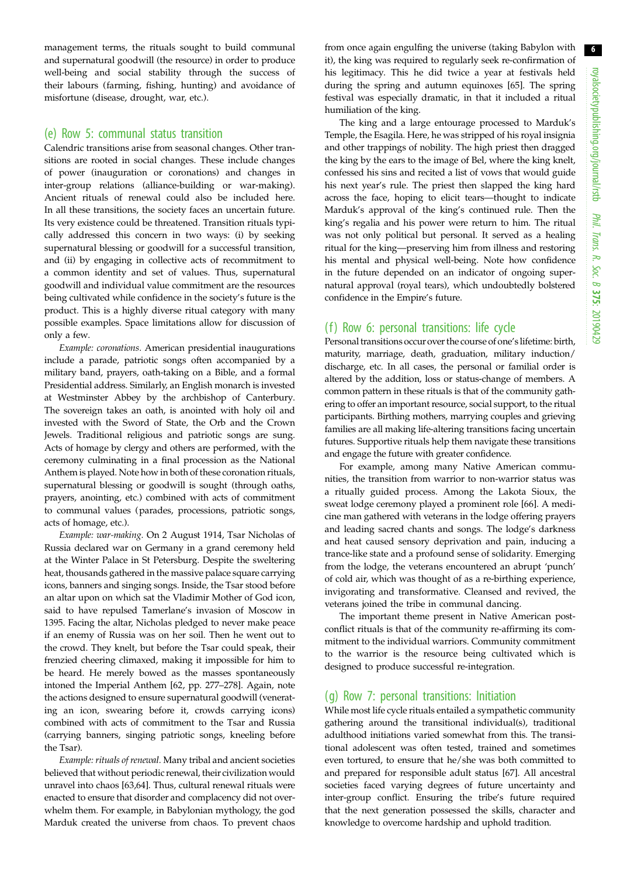management terms, the rituals sought to build communal and supernatural goodwill (the resource) in order to produce well-being and social stability through the success of their labours (farming, fishing, hunting) and avoidance of misfortune (disease, drought, war, etc.).

### (e) Row 5: communal status transition

Calendric transitions arise from seasonal changes. Other transitions are rooted in social changes. These include changes of power (inauguration or coronations) and changes in inter-group relations (alliance-building or war-making). Ancient rituals of renewal could also be included here. In all these transitions, the society faces an uncertain future. Its very existence could be threatened. Transition rituals typically addressed this concern in two ways: (i) by seeking supernatural blessing or goodwill for a successful transition, and (ii) by engaging in collective acts of recommitment to a common identity and set of values. Thus, supernatural goodwill and individual value commitment are the resources being cultivated while confidence in the society's future is the product. This is a highly diverse ritual category with many possible examples. Space limitations allow for discussion of only a few.

Example: coronations. American presidential inaugurations include a parade, patriotic songs often accompanied by a military band, prayers, oath-taking on a Bible, and a formal Presidential address. Similarly, an English monarch is invested at Westminster Abbey by the archbishop of Canterbury. The sovereign takes an oath, is anointed with holy oil and invested with the Sword of State, the Orb and the Crown Jewels. Traditional religious and patriotic songs are sung. Acts of homage by clergy and others are performed, with the ceremony culminating in a final procession as the National Anthem is played. Note how in both of these coronation rituals, supernatural blessing or goodwill is sought (through oaths, prayers, anointing, etc.) combined with acts of commitment to communal values (parades, processions, patriotic songs, acts of homage, etc.).

Example: war-making. On 2 August 1914, Tsar Nicholas of Russia declared war on Germany in a grand ceremony held at the Winter Palace in St Petersburg. Despite the sweltering heat, thousands gathered in the massive palace square carrying icons, banners and singing songs. Inside, the Tsar stood before an altar upon on which sat the Vladimir Mother of God icon, said to have repulsed Tamerlane's invasion of Moscow in 1395. Facing the altar, Nicholas pledged to never make peace if an enemy of Russia was on her soil. Then he went out to the crowd. They knelt, but before the Tsar could speak, their frenzied cheering climaxed, making it impossible for him to be heard. He merely bowed as the masses spontaneously intoned the Imperial Anthem [\[62](#page-8-0), pp. 277–278]. Again, note the actions designed to ensure supernatural goodwill (venerating an icon, swearing before it, crowds carrying icons) combined with acts of commitment to the Tsar and Russia (carrying banners, singing patriotic songs, kneeling before the Tsar).

Example: rituals of renewal. Many tribal and ancient societies believed that without periodic renewal, their civilization would unravel into chaos [[63,64\]](#page-8-0). Thus, cultural renewal rituals were enacted to ensure that disorder and complacency did not overwhelm them. For example, in Babylonian mythology, the god Marduk created the universe from chaos. To prevent chaos

from once again engulfing the universe (taking Babylon with it), the king was required to regularly seek re-confirmation of his legitimacy. This he did twice a year at festivals held during the spring and autumn equinoxes [\[65](#page-8-0)]. The spring festival was especially dramatic, in that it included a ritual humiliation of the king.

The king and a large entourage processed to Marduk's Temple, the Esagila. Here, he was stripped of his royal insignia and other trappings of nobility. The high priest then dragged the king by the ears to the image of Bel, where the king knelt, confessed his sins and recited a list of vows that would guide his next year's rule. The priest then slapped the king hard across the face, hoping to elicit tears—thought to indicate Marduk's approval of the king's continued rule. Then the king's regalia and his power were return to him. The ritual was not only political but personal. It served as a healing ritual for the king—preserving him from illness and restoring his mental and physical well-being. Note how confidence in the future depended on an indicator of ongoing supernatural approval (royal tears), which undoubtedly bolstered confidence in the Empire's future.

## (f) Row 6: personal transitions: life cycle

Personal transitions occur over the course of one's lifetime: birth, maturity, marriage, death, graduation, military induction/ discharge, etc. In all cases, the personal or familial order is altered by the addition, loss or status-change of members. A common pattern in these rituals is that of the community gathering to offer an important resource, social support, to the ritual participants. Birthing mothers, marrying couples and grieving families are all making life-altering transitions facing uncertain futures. Supportive rituals help them navigate these transitions and engage the future with greater confidence.

For example, among many Native American communities, the transition from warrior to non-warrior status was a ritually guided process. Among the Lakota Sioux, the sweat lodge ceremony played a prominent role [\[66](#page-8-0)]. A medicine man gathered with veterans in the lodge offering prayers and leading sacred chants and songs. The lodge's darkness and heat caused sensory deprivation and pain, inducing a trance-like state and a profound sense of solidarity. Emerging from the lodge, the veterans encountered an abrupt 'punch' of cold air, which was thought of as a re-birthing experience, invigorating and transformative. Cleansed and revived, the veterans joined the tribe in communal dancing.

The important theme present in Native American postconflict rituals is that of the community re-affirming its commitment to the individual warriors. Community commitment to the warrior is the resource being cultivated which is designed to produce successful re-integration.

#### (g) Row 7: personal transitions: Initiation

While most life cycle rituals entailed a sympathetic community gathering around the transitional individual(s), traditional adulthood initiations varied somewhat from this. The transitional adolescent was often tested, trained and sometimes even tortured, to ensure that he/she was both committed to and prepared for responsible adult status [\[67](#page-8-0)]. All ancestral societies faced varying degrees of future uncertainty and inter-group conflict. Ensuring the tribe's future required that the next generation possessed the skills, character and knowledge to overcome hardship and uphold tradition.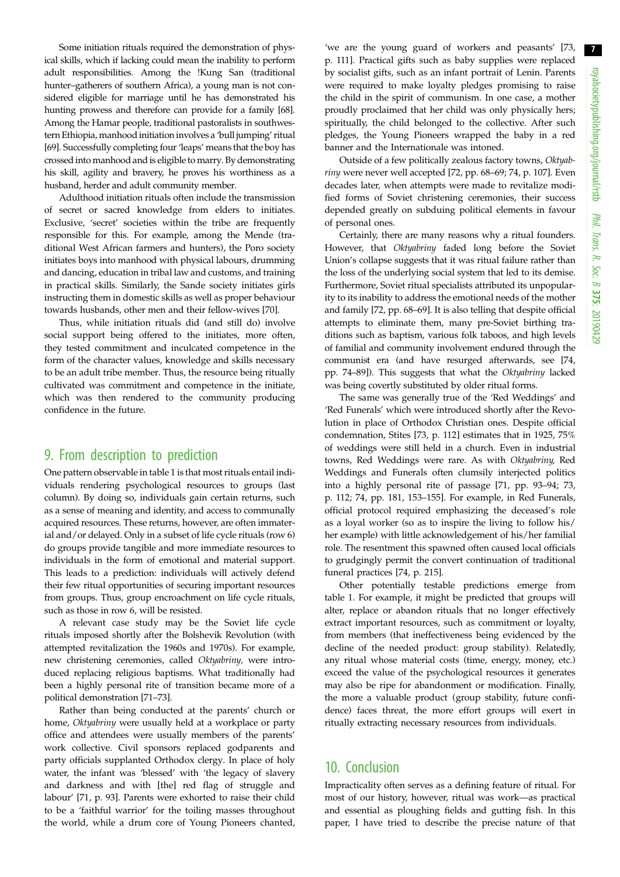Some initiation rituals required the demonstration of physical skills, which if lacking could mean the inability to perform adult responsibilities. Among the !Kung San (traditional hunter–gatherers of southern Africa), a young man is not considered eligible for marriage until he has demonstrated his hunting prowess and therefore can provide for a family [[68](#page-8-0)]. Among the Hamar people, traditional pastoralists in southwestern Ethiopia, manhood initiation involves a 'bull jumping' ritual [\[69](#page-8-0)]. Successfully completing four'leaps' means that the boy has crossed into manhood and is eligible to marry. By demonstrating his skill, agility and bravery, he proves his worthiness as a husband, herder and adult community member.

Adulthood initiation rituals often include the transmission of secret or sacred knowledge from elders to initiates. Exclusive, 'secret' societies within the tribe are frequently responsible for this. For example, among the Mende (traditional West African farmers and hunters), the Poro society initiates boys into manhood with physical labours, drumming and dancing, education in tribal law and customs, and training in practical skills. Similarly, the Sande society initiates girls instructing them in domestic skills as well as proper behaviour towards husbands, other men and their fellow-wives [[70\]](#page-8-0).

Thus, while initiation rituals did (and still do) involve social support being offered to the initiates, more often, they tested commitment and inculcated competence in the form of the character values, knowledge and skills necessary to be an adult tribe member. Thus, the resource being ritually cultivated was commitment and competence in the initiate, which was then rendered to the community producing confidence in the future.

# 9. From description to prediction

One pattern observable in [table 1](#page-4-0) is that most rituals entail individuals rendering psychological resources to groups (last column). By doing so, individuals gain certain returns, such as a sense of meaning and identity, and access to communally acquired resources. These returns, however, are often immaterial and/or delayed. Only in a subset of life cycle rituals (row 6) do groups provide tangible and more immediate resources to individuals in the form of emotional and material support. This leads to a prediction: individuals will actively defend their few ritual opportunities of securing important resources from groups. Thus, group encroachment on life cycle rituals, such as those in row 6, will be resisted.

A relevant case study may be the Soviet life cycle rituals imposed shortly after the Bolshevik Revolution (with attempted revitalization the 1960s and 1970s). For example, new christening ceremonies, called Oktyabriny, were introduced replacing religious baptisms. What traditionally had been a highly personal rite of transition became more of a political demonstration [\[71](#page-8-0)–[73](#page-8-0)].

Rather than being conducted at the parents' church or home, Oktyabriny were usually held at a workplace or party office and attendees were usually members of the parents' work collective. Civil sponsors replaced godparents and party officials supplanted Orthodox clergy. In place of holy water, the infant was 'blessed' with 'the legacy of slavery and darkness and with [the] red flag of struggle and labour' [[71,](#page-8-0) p. 93]. Parents were exhorted to raise their child to be a 'faithful warrior' for the toiling masses throughout the world, while a drum core of Young Pioneers chanted,

'we are the young guard of workers and peasants' [[73](#page-8-0), p. 111]. Practical gifts such as baby supplies were replaced by socialist gifts, such as an infant portrait of Lenin. Parents were required to make loyalty pledges promising to raise the child in the spirit of communism. In one case, a mother proudly proclaimed that her child was only physically hers; spiritually, the child belonged to the collective. After such pledges, the Young Pioneers wrapped the baby in a red banner and the Internationale was intoned.

Outside of a few politically zealous factory towns, Oktyabriny were never well accepted [\[72](#page-8-0), pp. 68–69; [74,](#page-8-0) p. 107]. Even decades later, when attempts were made to revitalize modified forms of Soviet christening ceremonies, their success depended greatly on subduing political elements in favour of personal ones.

Certainly, there are many reasons why a ritual founders. However, that Oktyabriny faded long before the Soviet Union's collapse suggests that it was ritual failure rather than the loss of the underlying social system that led to its demise. Furthermore, Soviet ritual specialists attributed its unpopularity to its inability to address the emotional needs of the mother and family [\[72](#page-8-0), pp. 68–69]. It is also telling that despite official attempts to eliminate them, many pre-Soviet birthing traditions such as baptism, various folk taboos, and high levels of familial and community involvement endured through the communist era (and have resurged afterwards, see [[74](#page-8-0), pp. 74–89]). This suggests that what the Oktyabriny lacked was being covertly substituted by older ritual forms.

The same was generally true of the 'Red Weddings' and 'Red Funerals' which were introduced shortly after the Revolution in place of Orthodox Christian ones. Despite official condemnation, Stites [[73,](#page-8-0) p. 112] estimates that in 1925, 75% of weddings were still held in a church. Even in industrial towns, Red Weddings were rare. As with Oktyabriny, Red Weddings and Funerals often clumsily interjected politics into a highly personal rite of passage [[71,](#page-8-0) pp. 93–94; [73](#page-8-0), p. 112; [74,](#page-8-0) pp. 181, 153–155]. For example, in Red Funerals, official protocol required emphasizing the deceased's role as a loyal worker (so as to inspire the living to follow his/ her example) with little acknowledgement of his/her familial role. The resentment this spawned often caused local officials to grudgingly permit the convert continuation of traditional funeral practices [[74,](#page-8-0) p. 215].

Other potentially testable predictions emerge from [table 1.](#page-4-0) For example, it might be predicted that groups will alter, replace or abandon rituals that no longer effectively extract important resources, such as commitment or loyalty, from members (that ineffectiveness being evidenced by the decline of the needed product: group stability). Relatedly, any ritual whose material costs (time, energy, money, etc.) exceed the value of the psychological resources it generates may also be ripe for abandonment or modification. Finally, the more a valuable product (group stability, future confidence) faces threat, the more effort groups will exert in ritually extracting necessary resources from individuals.

## 10. Conclusion

Impracticality often serves as a defining feature of ritual. For most of our history, however, ritual was work—as practical and essential as ploughing fields and gutting fish. In this paper, I have tried to describe the precise nature of that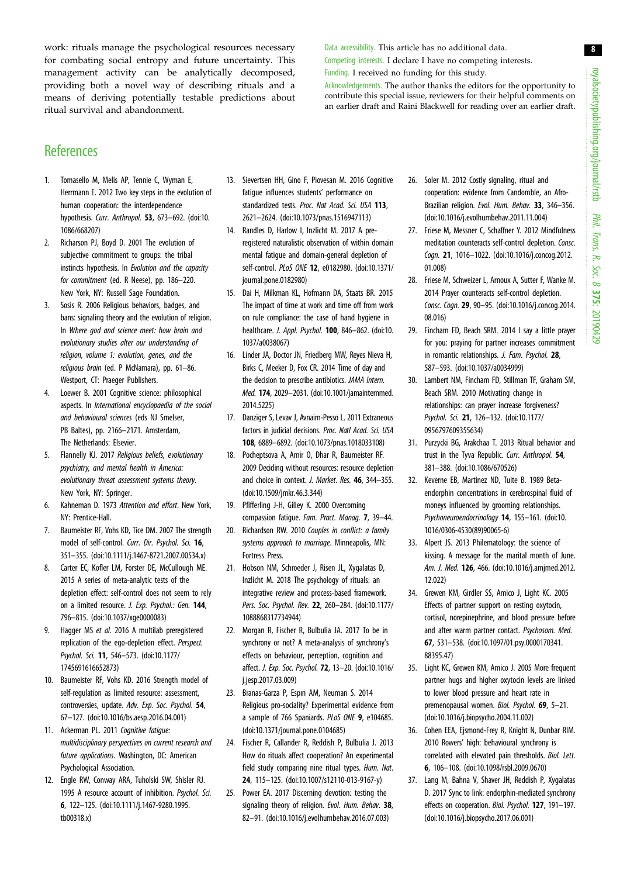<span id="page-7-0"></span>work: rituals manage the psychological resources necessary for combating social entropy and future uncertainty. This management activity can be analytically decomposed, providing both a novel way of describing rituals and a means of deriving potentially testable predictions about ritual survival and abandonment.

Data accessibility. This article has no additional data. Competing interests. I declare I have no competing interests.

Funding. I received no funding for this study.

Acknowledgements. The author thanks the editors for the opportunity to contribute this special issue, reviewers for their helpful comments on an earlier draft and Raini Blackwell for reading over an earlier draft.

# **References**

- 1. Tomasello M, Melis AP, Tennie C, Wyman E, Herrmann E. 2012 Two key steps in the evolution of human cooperation: the interdependence hypothesis. Curr. Anthropol. 53, 673–692. ([doi:10.](http://dx.doi.org/10.1086/668207) [1086/668207](http://dx.doi.org/10.1086/668207))
- 2. Richarson PJ, Boyd D. 2001 The evolution of subjective commitment to groups: the tribal instincts hypothesis. In Evolution and the capacity for commitment (ed. R Neese), pp. 186–220. New York, NY: Russell Sage Foundation.
- 3. Sosis R. 2006 Religious behaviors, badges, and bans: signaling theory and the evolution of religion. In Where god and science meet: how brain and evolutionary studies alter our understanding of religion, volume 1: evolution, genes, and the religious brain (ed. P McNamara), pp. 61–86. Westport, CT: Praeger Publishers.
- 4. Loewer B. 2001 Cognitive science: philosophical aspects. In International encyclopaedia of the social and behavioural sciences (eds NJ Smelser, PB Baltes), pp. 2166–2171. Amsterdam, The Netherlands: Elsevier.
- 5. Flannelly KJ. 2017 Religious beliefs, evolutionary psychiatry, and mental health in America: evolutionary threat assessment systems theory. New York, NY: Springer.
- 6. Kahneman D. 1973 Attention and effort. New York, NY: Prentice-Hall.
- 7. Baumeister RF, Vohs KD, Tice DM. 2007 The strength model of self-control. Curr. Dir. Psychol. Sci. 16, 351–355. ([doi:10.1111/j.1467-8721.2007.00534.x\)](http://dx.doi.org/10.1111/j.1467-8721.2007.00534.x)
- 8. Carter EC, Kofler LM, Forster DE, McCullough ME. 2015 A series of meta-analytic tests of the depletion effect: self-control does not seem to rely on a limited resource. J. Exp. Psychol.: Gen. 144, 796–815. ([doi:10.1037/xge0000083\)](http://dx.doi.org/10.1037/xge0000083)
- 9. Hagger MS et al. 2016 A multilab preregistered replication of the ego-depletion effect. Perspect. Psychol. Sci. 11, 546–573. [\(doi:10.1177/](http://dx.doi.org/10.1177/1745691616652873) [1745691616652873](http://dx.doi.org/10.1177/1745691616652873))
- 10. Baumeister RF, Vohs KD. 2016 Strength model of self-regulation as limited resource: assessment, controversies, update. Adv. Exp. Soc. Psychol. 54, 67–127. [\(doi:10.1016/bs.aesp.2016.04.001\)](http://dx.doi.org/10.1016/bs.aesp.2016.04.001)
- 11. Ackerman PL. 2011 Cognitive fatigue: multidisciplinary perspectives on current research and future applications. Washington, DC: American Psychological Association.
- 12. Engle RW, Conway ARA, Tuholski SW, Shisler RJ. 1995 A resource account of inhibition. Psychol. Sci. 6, 122–125. [\(doi:10.1111/j.1467-9280.1995.](http://dx.doi.org/10.1111/j.1467-9280.1995.tb00318.x) [tb00318.x](http://dx.doi.org/10.1111/j.1467-9280.1995.tb00318.x))
- 13. Sievertsen HH, Gino F, Piovesan M. 2016 Cognitive fatigue influences students' performance on standardized tests. Proc. Nat Acad. Sci. USA 113, 2621–2624. [\(doi:10.1073/pnas.1516947113](http://dx.doi.org/10.1073/pnas.1516947113))
- 14. Randles D, Harlow I, Inzlicht M. 2017 A preregistered naturalistic observation of within domain mental fatigue and domain-general depletion of self-control. PLoS ONE 12, e0182980. [\(doi:10.1371/](http://dx.doi.org/10.1371/journal.pone.0182980) [journal.pone.0182980\)](http://dx.doi.org/10.1371/journal.pone.0182980)
- 15. Dai H, Milkman KL, Hofmann DA, Staats BR. 2015 The impact of time at work and time off from work on rule compliance: the case of hand hygiene in healthcare. J. Appl. Psychol. 100, 846–862. [\(doi:10.](http://dx.doi.org/10.1037/a0038067) [1037/a0038067\)](http://dx.doi.org/10.1037/a0038067)
- 16. Linder JA, Doctor JN, Friedberg MW, Reyes Nieva H, Birks C, Meeker D, Fox CR. 2014 Time of day and the decision to prescribe antibiotics. JAMA Intern. Med. 174, 2029–2031. ([doi:10.1001/jamainternmed.](http://dx.doi.org/10.1001/jamainternmed.2014.5225) [2014.5225](http://dx.doi.org/10.1001/jamainternmed.2014.5225))
- 17. Danziger S, Levav J, Avnaim-Pesso L. 2011 Extraneous factors in judicial decisions. Proc. Natl Acad. Sci. USA 108, 6889–6892. ([doi:10.1073/pnas.1018033108](http://dx.doi.org/10.1073/pnas.1018033108))
- 18. Pocheptsova A, Amir O, Dhar R, Baumeister RF. 2009 Deciding without resources: resource depletion and choice in context. J. Market. Res. 46, 344–355. [\(doi:10.1509/jmkr.46.3.344](http://dx.doi.org/10.1509/jmkr.46.3.344))
- 19. Pfifferling J-H, Gilley K. 2000 Overcoming compassion fatigue. Fam. Pract. Manag. 7, 39–44.
- 20. Richardson RW. 2010 Couples in conflict: a family systems approach to marriage. Minneapolis, MN: Fortress Press.
- 21. Hobson NM, Schroeder J, Risen JL, Xygalatas D, Inzlicht M. 2018 The psychology of rituals: an integrative review and process-based framework. Pers. Soc. Psychol. Rev. 22, 260–284. [\(doi:10.1177/](http://dx.doi.org/10.1177/1088868317734944) [1088868317734944\)](http://dx.doi.org/10.1177/1088868317734944)
- 22. Morgan R, Fischer R, Bulbulia JA. 2017 To be in synchrony or not? A meta-analysis of synchrony's effects on behaviour, perception, cognition and affect. J. Exp. Soc. Psychol. 72, 13–20. [\(doi:10.1016/](http://dx.doi.org/10.1016/j.jesp.2017.03.009) [j.jesp.2017.03.009\)](http://dx.doi.org/10.1016/j.jesp.2017.03.009)
- 23. Branas-Garza P, Espın AM, Neuman S. 2014 Religious pro-sociality? Experimental evidence from a sample of 766 Spaniards. PLoS ONE 9, e104685. [\(doi:10.1371/journal.pone.0104685\)](http://dx.doi.org/10.1371/journal.pone.0104685)
- 24. Fischer R, Callander R, Reddish P, Bulbulia J. 2013 How do rituals affect cooperation? An experimental field study comparing nine ritual types. Hum. Nat. 24, 115–125. ([doi:10.1007/s12110-013-9167-y\)](http://dx.doi.org/10.1007/s12110-013-9167-y)
- 25. Power EA. 2017 Discerning devotion: testing the signaling theory of religion. Evol. Hum. Behav. 38, 82–91. ([doi:10.1016/j.evolhumbehav.2016.07.003](http://dx.doi.org/10.1016/j.evolhumbehav.2016.07.003))
- 26. Soler M. 2012 Costly signaling, ritual and cooperation: evidence from Candomble, an Afro-Brazilian religion. Evol. Hum. Behav. 33, 346–356. ([doi:10.1016/j.evolhumbehav.2011.11.004\)](http://dx.doi.org/10.1016/j.evolhumbehav.2011.11.004)
- 27. Friese M, Messner C, Schaffner Y. 2012 Mindfulness meditation counteracts self-control depletion. Consc. Cogn. 21, 1016–1022. [\(doi:10.1016/j.concog.2012.](http://dx.doi.org/10.1016/j.concog.2012.01.008) [01.008](http://dx.doi.org/10.1016/j.concog.2012.01.008))
- 28. Friese M, Schweizer L, Arnoux A, Sutter F, Wanke M. 2014 Prayer counteracts self-control depletion. Consc. Cogn. 29, 90–95. ([doi:10.1016/j.concog.2014.](http://dx.doi.org/10.1016/j.concog.2014.08.016) [08.016](http://dx.doi.org/10.1016/j.concog.2014.08.016))
- 29. Fincham FD, Beach SRM. 2014 I say a little prayer for you: praying for partner increases commitment in romantic relationships. J. Fam. Psychol. 28, 587–593. [\(doi:10.1037/a0034999\)](http://dx.doi.org/10.1037/a0034999)
- 30. Lambert NM, Fincham FD, Stillman TF, Graham SM, Beach SRM. 2010 Motivating change in relationships: can prayer increase forgiveness? Psychol. Sci. 21, 126–132. ([doi:10.1177/](http://dx.doi.org/10.1177/ 0956797609355634) [0956797609355634\)](http://dx.doi.org/10.1177/ 0956797609355634)
- 31. Purzycki BG, Arakchaa T. 2013 Ritual behavior and trust in the Tyva Republic. Curr. Anthropol. 54, 381–388. [\(doi:10.1086/670526](http://dx.doi.org/10.1086/670526))
- 32. Keverne EB, Martinez ND, Tuite B. 1989 Betaendorphin concentrations in cerebrospinal fluid of moneys influenced by grooming relationships. Psychoneuroendocrinology 14, 155–161. [\(doi:10.](http://dx.doi.org/10.1016/0306-4530(89)90065-6) [1016/0306-4530\(89\)90065-6](http://dx.doi.org/10.1016/0306-4530(89)90065-6))
- 33. Alpert JS. 2013 Philematology: the science of kissing. A message for the marital month of June. Am. J. Med. 126, 466. [\(doi:10.1016/j.amjmed.2012.](http://dx.doi.org/10.1016/j.amjmed.2012.12.022) [12.022](http://dx.doi.org/10.1016/j.amjmed.2012.12.022))
- 34. Grewen KM, Girdler SS, Amico J, Light KC. 2005 Effects of partner support on resting oxytocin, cortisol, norepinephrine, and blood pressure before and after warm partner contact. Psychosom. Med. 67, 531–538. ([doi:10.1097/01.psy.0000170341.](http://dx.doi.org/10.1097/01.psy.0000170341.88395.47) [88395.47](http://dx.doi.org/10.1097/01.psy.0000170341.88395.47))
- 35. Light KC, Grewen KM, Amico J. 2005 More frequent partner hugs and higher oxytocin levels are linked to lower blood pressure and heart rate in premenopausal women. Biol. Psychol. 69, 5–21. ([doi:10.1016/j.biopsycho.2004.11.002](http://dx.doi.org/10.1016/j.biopsycho.2004.11.002))
- 36. Cohen EEA, Ejsmond-Frey R, Knight N, Dunbar RIM. 2010 Rowers' high: behavioural synchrony is correlated with elevated pain thresholds. Biol. Lett. 6, 106–108. ([doi:10.1098/rsbl.2009.0670\)](http://dx.doi.org/10.1098/rsbl.2009.0670)
- 37. Lang M, Bahna V, Shaver JH, Reddish P, Xygalatas D. 2017 Sync to link: endorphin-mediated synchrony effects on cooperation. Biol. Psychol. 127, 191–197. ([doi:10.1016/j.biopsycho.2017.06.001](http://dx.doi.org/10.1016/j.biopsycho.2017.06.001))